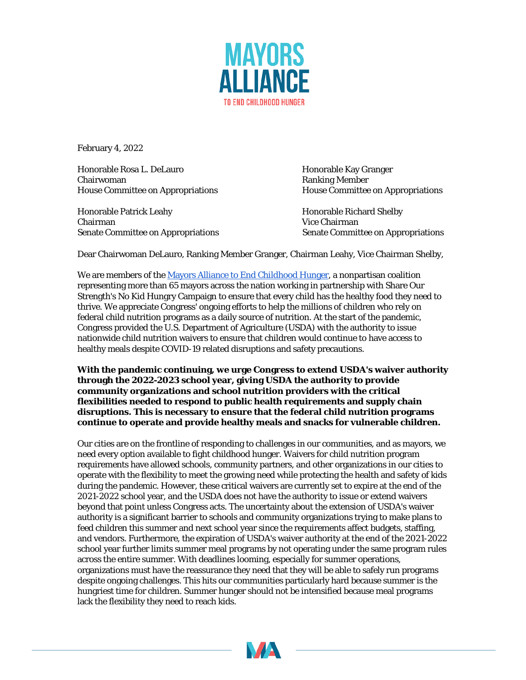

February 4, 2022

Honorable Rosa L. DeLauro Honorable Kay Granger Chairwoman **Ranking Member** House Committee on Appropriations House Committee on Appropriations

Honorable Patrick Leahy **Honorable Richard Shelby Honorable Richard Shelby** Chairman Vice Chairman Senate Committee on Appropriations Senate Committee on Appropriations

Dear Chairwoman DeLauro, Ranking Member Granger, Chairman Leahy, Vice Chairman Shelby,

We are members of th[e Mayors Alliance to End Childhood Hunger,](https://mayorshungeralliance.org/) a nonpartisan coalition representing more than 65 mayors across the nation working in partnership with Share Our Strength's No Kid Hungry Campaign to ensure that every child has the healthy food they need to thrive. We appreciate Congress' ongoing efforts to help the millions of children who rely on federal child nutrition programs as a daily source of nutrition. At the start of the pandemic, Congress provided the U.S. Department of Agriculture (USDA) with the authority to issue nationwide child nutrition waivers to ensure that children would continue to have access to healthy meals despite COVID-19 related disruptions and safety precautions.

**With the pandemic continuing, we urge Congress to extend USDA's waiver authority through the 2022-2023 school year, giving USDA the authority to provide community organizations and school nutrition providers with the critical flexibilities needed to respond to public health requirements and supply chain disruptions. This is necessary to ensure that the federal child nutrition programs continue to operate and provide healthy meals and snacks for vulnerable children.**

Our cities are on the frontline of responding to challenges in our communities, and as mayors, we need every option available to fight childhood hunger. Waivers for child nutrition program requirements have allowed schools, community partners, and other organizations in our cities to operate with the flexibility to meet the growing need while protecting the health and safety of kids during the pandemic. However, these critical waivers are currently set to expire at the end of the 2021-2022 school year, and the USDA does not have the authority to issue or extend waivers beyond that point unless Congress acts. The uncertainty about the extension of USDA's waiver authority is a significant barrier to schools and community organizations trying to make plans to feed children this summer and next school year since the requirements affect budgets, staffing, and vendors. Furthermore, the expiration of USDA's waiver authority at the end of the 2021-2022 school year further limits summer meal programs by not operating under the same program rules across the entire summer. With deadlines looming, especially for summer operations, organizations must have the reassurance they need that they will be able to safely run programs despite ongoing challenges. This hits our communities particularly hard because summer is the hungriest time for children. Summer hunger should not be intensified because meal programs lack the flexibility they need to reach kids.

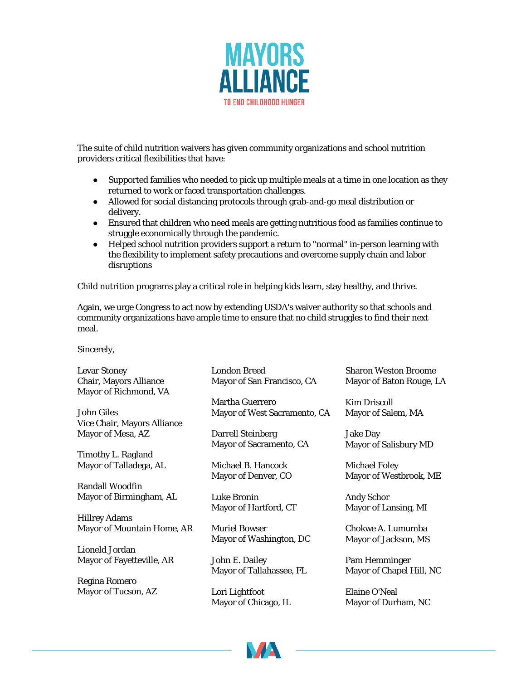

The suite of child nutrition waivers has given community organizations and school nutrition providers critical flexibilities that have:

- Supported families who needed to pick up multiple meals at a time in one location as they returned to work or faced transportation challenges.
- Allowed for social distancing protocols through grab-and-go meal distribution or delivery.
- Ensured that children who need meals are getting nutritious food as families continue to struggle economically through the pandemic.
- Helped school nutrition providers support a return to "normal" in-person learning with the flexibility to implement safety precautions and overcome supply chain and labor disruptions

Child nutrition programs play a critical role in helping kids learn, stay healthy, and thrive.

Again, we urge Congress to act now by extending USDA's waiver authority so that schools and community organizations have ample time to ensure that no child struggles to find their next meal.

Sincerely,

| <b>Levar Stoney</b>           | <b>London Breed</b>          | <b>Sharon Weston Broome</b>  |
|-------------------------------|------------------------------|------------------------------|
| <b>Chair, Mayors Alliance</b> | Mayor of San Francisco, CA   | Mayor of Baton Rouge, LA     |
| Mayor of Richmond, VA         |                              |                              |
|                               | <b>Martha Guerrero</b>       | <b>Kim Driscoll</b>          |
| John Giles                    | Mayor of West Sacramento, CA | Mayor of Salem, MA           |
| Vice Chair, Mayors Alliance   |                              |                              |
| Mayor of Mesa, AZ             | <b>Darrell Steinberg</b>     | <b>Jake Day</b>              |
|                               | Mayor of Sacramento, CA      | <b>Mayor of Salisbury MD</b> |
| Timothy L. Ragland            |                              |                              |
| Mayor of Talladega, AL        | Michael B. Hancock           | <b>Michael Foley</b>         |
|                               | Mayor of Denver, CO          | Mayor of Westbrook, ME       |
| <b>Randall Woodfin</b>        |                              |                              |
| Mayor of Birmingham, AL       | Luke Bronin                  | <b>Andy Schor</b>            |
|                               | Mayor of Hartford, CT        | Mayor of Lansing, MI         |
| <b>Hillrey Adams</b>          |                              |                              |
| Mayor of Mountain Home, AR    | <b>Muriel Bowser</b>         | Chokwe A. Lumumba            |
|                               | Mayor of Washington, DC      | Mayor of Jackson, MS         |
| Lioneld Jordan                |                              |                              |
| Mayor of Fayetteville, AR     | John E. Dailey               | Pam Hemminger                |
|                               | Mayor of Tallahassee, FL     | Mayor of Chapel Hill, NC     |
| Regina Romero                 |                              |                              |
| Mayor of Tucson, AZ           | Lori Lightfoot               | Elaine O'Neal                |
|                               | Mayor of Chicago, IL         | Mayor of Durham, NC          |
|                               |                              |                              |